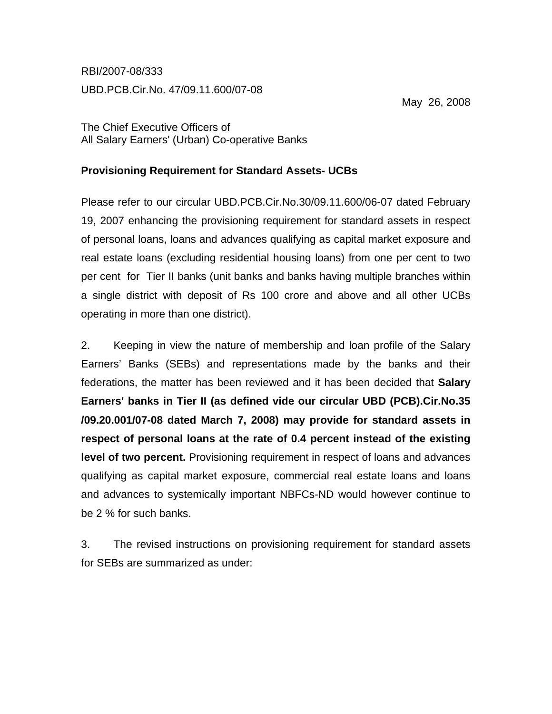RBI/2007-08/333

UBD.PCB.Cir.No. 47/09.11.600/07-08

May 26, 2008

The Chief Executive Officers of All Salary Earners' (Urban) Co-operative Banks

## **Provisioning Requirement for Standard Assets- UCBs**

Please refer to our circular UBD.PCB.Cir.No.30/09.11.600/06-07 dated February 19, 2007 enhancing the provisioning requirement for standard assets in respect of personal loans, loans and advances qualifying as capital market exposure and real estate loans (excluding residential housing loans) from one per cent to two per cent for Tier II banks (unit banks and banks having multiple branches within a single district with deposit of Rs 100 crore and above and all other UCBs operating in more than one district).

2. Keeping in view the nature of membership and loan profile of the Salary Earners' Banks (SEBs) and representations made by the banks and their federations, the matter has been reviewed and it has been decided that **Salary Earners' banks in Tier II (as defined vide our circular UBD (PCB).Cir.No.35 /09.20.001/07-08 dated March 7, 2008) may provide for standard assets in respect of personal loans at the rate of 0.4 percent instead of the existing level of two percent.** Provisioning requirement in respect of loans and advances qualifying as capital market exposure, commercial real estate loans and loans and advances to systemically important NBFCs-ND would however continue to be 2 % for such banks.

3. The revised instructions on provisioning requirement for standard assets for SEBs are summarized as under: